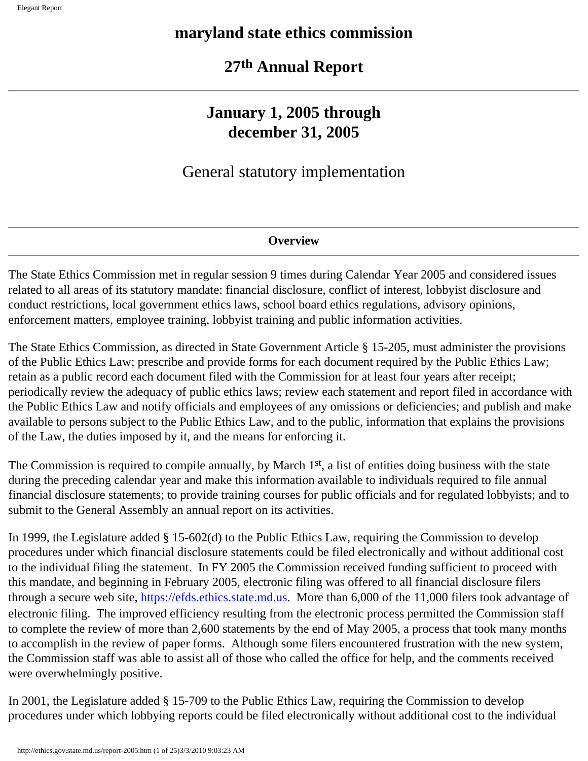# **maryland state ethics commission**

# **27th Annual Report**

# **January 1, 2005 through december 31, 2005**

# General statutory implementation

# **Overview**

The State Ethics Commission met in regular session 9 times during Calendar Year 2005 and considered issues related to all areas of its statutory mandate: financial disclosure, conflict of interest, lobbyist disclosure and conduct restrictions, local government ethics laws, school board ethics regulations, advisory opinions, enforcement matters, employee training, lobbyist training and public information activities.

The State Ethics Commission, as directed in State Government Article § 15-205, must administer the provisions of the Public Ethics Law; prescribe and provide forms for each document required by the Public Ethics Law; retain as a public record each document filed with the Commission for at least four years after receipt; periodically review the adequacy of public ethics laws; review each statement and report filed in accordance with the Public Ethics Law and notify officials and employees of any omissions or deficiencies; and publish and make available to persons subject to the Public Ethics Law, and to the public, information that explains the provisions of the Law, the duties imposed by it, and the means for enforcing it.

The Commission is required to compile annually, by March 1<sup>st</sup>, a list of entities doing business with the state during the preceding calendar year and make this information available to individuals required to file annual financial disclosure statements; to provide training courses for public officials and for regulated lobbyists; and to submit to the General Assembly an annual report on its activities.

In 1999, the Legislature added § 15-602(d) to the Public Ethics Law, requiring the Commission to develop procedures under which financial disclosure statements could be filed electronically and without additional cost to the individual filing the statement. In FY 2005 the Commission received funding sufficient to proceed with this mandate, and beginning in February 2005, electronic filing was offered to all financial disclosure filers through a secure web site, [https://efds.ethics.state.md.us](https://efds.ethics.state.md.us/). More than 6,000 of the 11,000 filers took advantage of electronic filing. The improved efficiency resulting from the electronic process permitted the Commission staff to complete the review of more than 2,600 statements by the end of May 2005, a process that took many months to accomplish in the review of paper forms. Although some filers encountered frustration with the new system, the Commission staff was able to assist all of those who called the office for help, and the comments received were overwhelmingly positive.

In 2001, the Legislature added § 15-709 to the Public Ethics Law, requiring the Commission to develop procedures under which lobbying reports could be filed electronically without additional cost to the individual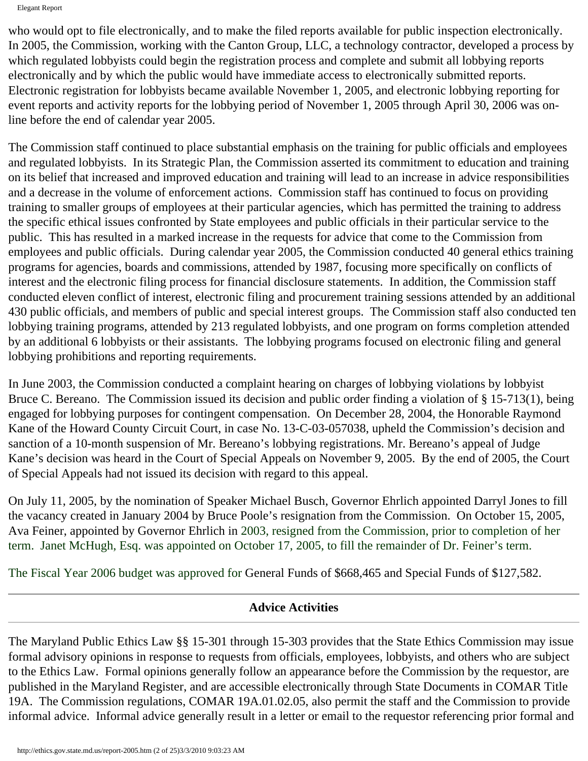Elegant Report

who would opt to file electronically, and to make the filed reports available for public inspection electronically. In 2005, the Commission, working with the Canton Group, LLC, a technology contractor, developed a process by which regulated lobbyists could begin the registration process and complete and submit all lobbying reports electronically and by which the public would have immediate access to electronically submitted reports. Electronic registration for lobbyists became available November 1, 2005, and electronic lobbying reporting for event reports and activity reports for the lobbying period of November 1, 2005 through April 30, 2006 was online before the end of calendar year 2005.

The Commission staff continued to place substantial emphasis on the training for public officials and employees and regulated lobbyists. In its Strategic Plan, the Commission asserted its commitment to education and training on its belief that increased and improved education and training will lead to an increase in advice responsibilities and a decrease in the volume of enforcement actions. Commission staff has continued to focus on providing training to smaller groups of employees at their particular agencies, which has permitted the training to address the specific ethical issues confronted by State employees and public officials in their particular service to the public. This has resulted in a marked increase in the requests for advice that come to the Commission from employees and public officials. During calendar year 2005, the Commission conducted 40 general ethics training programs for agencies, boards and commissions, attended by 1987, focusing more specifically on conflicts of interest and the electronic filing process for financial disclosure statements. In addition, the Commission staff conducted eleven conflict of interest, electronic filing and procurement training sessions attended by an additional 430 public officials, and members of public and special interest groups. The Commission staff also conducted ten lobbying training programs, attended by 213 regulated lobbyists, and one program on forms completion attended by an additional 6 lobbyists or their assistants. The lobbying programs focused on electronic filing and general lobbying prohibitions and reporting requirements.

In June 2003, the Commission conducted a complaint hearing on charges of lobbying violations by lobbyist Bruce C. Bereano. The Commission issued its decision and public order finding a violation of § 15-713(1), being engaged for lobbying purposes for contingent compensation. On December 28, 2004, the Honorable Raymond Kane of the Howard County Circuit Court, in case No. 13-C-03-057038, upheld the Commission's decision and sanction of a 10-month suspension of Mr. Bereano's lobbying registrations. Mr. Bereano's appeal of Judge Kane's decision was heard in the Court of Special Appeals on November 9, 2005. By the end of 2005, the Court of Special Appeals had not issued its decision with regard to this appeal.

On July 11, 2005, by the nomination of Speaker Michael Busch, Governor Ehrlich appointed Darryl Jones to fill the vacancy created in January 2004 by Bruce Poole's resignation from the Commission. On October 15, 2005, Ava Feiner, appointed by Governor Ehrlich in 2003, resigned from the Commission, prior to completion of her term. Janet McHugh, Esq. was appointed on October 17, 2005, to fill the remainder of Dr. Feiner's term.

The Fiscal Year 2006 budget was approved for General Funds of \$668,465 and Special Funds of \$127,582.

# **Advice Activities**

The Maryland Public Ethics Law §§ 15-301 through 15-303 provides that the State Ethics Commission may issue formal advisory opinions in response to requests from officials, employees, lobbyists, and others who are subject to the Ethics Law. Formal opinions generally follow an appearance before the Commission by the requestor, are published in the Maryland Register, and are accessible electronically through State Documents in COMAR Title 19A. The Commission regulations, COMAR 19A.01.02.05, also permit the staff and the Commission to provide informal advice. Informal advice generally result in a letter or email to the requestor referencing prior formal and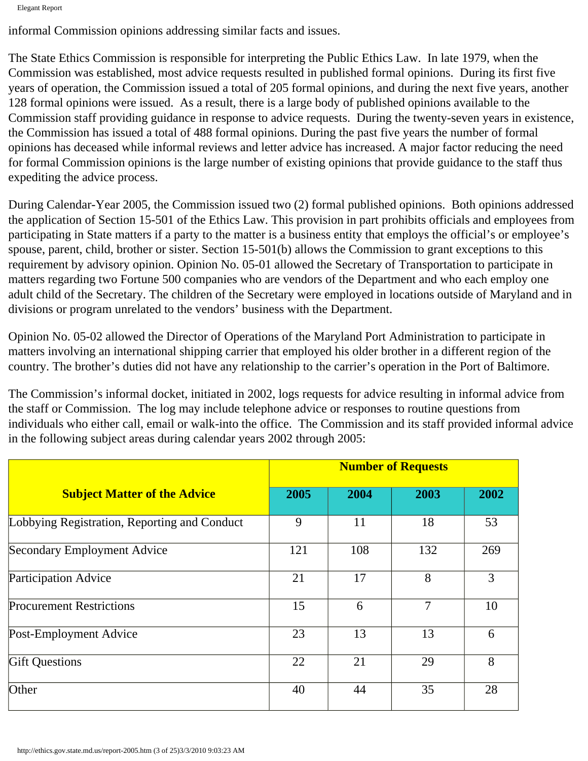Elegant Report

informal Commission opinions addressing similar facts and issues.

The State Ethics Commission is responsible for interpreting the Public Ethics Law. In late 1979, when the Commission was established, most advice requests resulted in published formal opinions. During its first five years of operation, the Commission issued a total of 205 formal opinions, and during the next five years, another 128 formal opinions were issued. As a result, there is a large body of published opinions available to the Commission staff providing guidance in response to advice requests. During the twenty-seven years in existence, the Commission has issued a total of 488 formal opinions. During the past five years the number of formal opinions has deceased while informal reviews and letter advice has increased. A major factor reducing the need for formal Commission opinions is the large number of existing opinions that provide guidance to the staff thus expediting the advice process.

During Calendar-Year 2005, the Commission issued two (2) formal published opinions. Both opinions addressed the application of Section 15-501 of the Ethics Law. This provision in part prohibits officials and employees from participating in State matters if a party to the matter is a business entity that employs the official's or employee's spouse, parent, child, brother or sister. Section 15-501(b) allows the Commission to grant exceptions to this requirement by advisory opinion. Opinion No. 05-01 allowed the Secretary of Transportation to participate in matters regarding two Fortune 500 companies who are vendors of the Department and who each employ one adult child of the Secretary. The children of the Secretary were employed in locations outside of Maryland and in divisions or program unrelated to the vendors' business with the Department.

Opinion No. 05-02 allowed the Director of Operations of the Maryland Port Administration to participate in matters involving an international shipping carrier that employed his older brother in a different region of the country. The brother's duties did not have any relationship to the carrier's operation in the Port of Baltimore.

The Commission's informal docket, initiated in 2002, logs requests for advice resulting in informal advice from the staff or Commission. The log may include telephone advice or responses to routine questions from individuals who either call, email or walk-into the office. The Commission and its staff provided informal advice in the following subject areas during calendar years 2002 through 2005:

|                                              | <b>Number of Requests</b> |      |                |      |
|----------------------------------------------|---------------------------|------|----------------|------|
| <b>Subject Matter of the Advice</b>          | 2005                      | 2004 | 2003           | 2002 |
| Lobbying Registration, Reporting and Conduct | 9                         | 11   | 18             | 53   |
| Secondary Employment Advice                  | 121                       | 108  | 132            | 269  |
| Participation Advice                         | 21                        | 17   | 8              | 3    |
| <b>Procurement Restrictions</b>              | 15                        | 6    | $\overline{7}$ | 10   |
| Post-Employment Advice                       | 23                        | 13   | 13             | 6    |
| <b>Gift Questions</b>                        | 22                        | 21   | 29             | 8    |
| Other                                        | 40                        | 44   | 35             | 28   |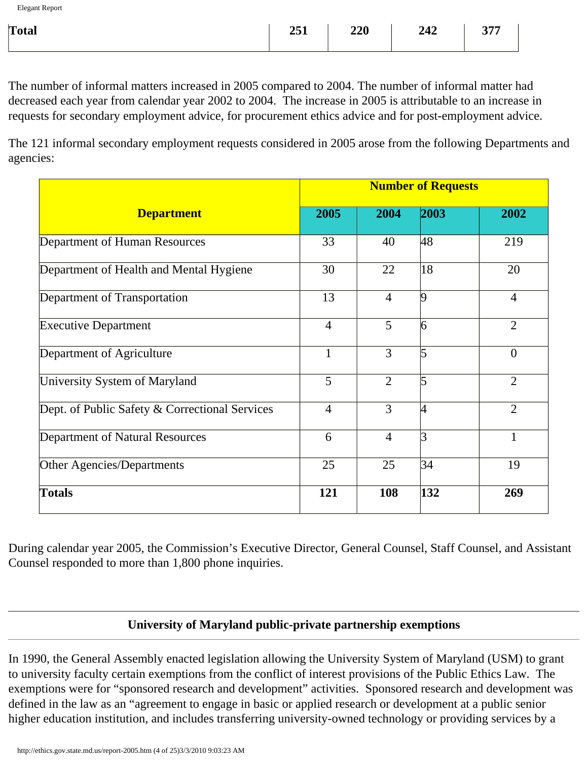| Total | $251$   $220$ | 242   377 |  |
|-------|---------------|-----------|--|
|       |               |           |  |

The number of informal matters increased in 2005 compared to 2004. The number of informal matter had decreased each year from calendar year 2002 to 2004. The increase in 2005 is attributable to an increase in requests for secondary employment advice, for procurement ethics advice and for post-employment advice.

The 121 informal secondary employment requests considered in 2005 arose from the following Departments and agencies:

|                                                | <b>Number of Requests</b> |                |                         |                |
|------------------------------------------------|---------------------------|----------------|-------------------------|----------------|
| <b>Department</b>                              | 2005                      | 2004           | 2003                    | 2002           |
| Department of Human Resources                  | 33                        | 40             | 48                      | 219            |
| Department of Health and Mental Hygiene        | 30                        | 22             | 18                      | 20             |
| Department of Transportation                   | 13                        | $\overline{4}$ | $\vert 9$               | $\overline{4}$ |
| <b>Executive Department</b>                    | $\overline{4}$            | 5              | $\overline{6}$          | $\overline{2}$ |
| Department of Agriculture                      | $\mathbf{1}$              | $\overline{3}$ | $\overline{5}$          | $\overline{0}$ |
| University System of Maryland                  | 5                         | $\overline{2}$ | 5                       | $\overline{2}$ |
| Dept. of Public Safety & Correctional Services | $\overline{4}$            | 3              | 14                      | $\overline{2}$ |
| Department of Natural Resources                | 6                         | $\overline{4}$ | $\mathbf{\overline{3}}$ | $\mathbf{1}$   |
| Other Agencies/Departments                     | 25                        | 25             | 34                      | 19             |
| <b>Totals</b>                                  | 121                       | 108            | 132                     | 269            |

During calendar year 2005, the Commission's Executive Director, General Counsel, Staff Counsel, and Assistant Counsel responded to more than 1,800 phone inquiries.

#### **University of Maryland public-private partnership exemptions**

In 1990, the General Assembly enacted legislation allowing the University System of Maryland (USM) to grant to university faculty certain exemptions from the conflict of interest provisions of the Public Ethics Law. The exemptions were for "sponsored research and development" activities. Sponsored research and development was defined in the law as an "agreement to engage in basic or applied research or development at a public senior higher education institution, and includes transferring university-owned technology or providing services by a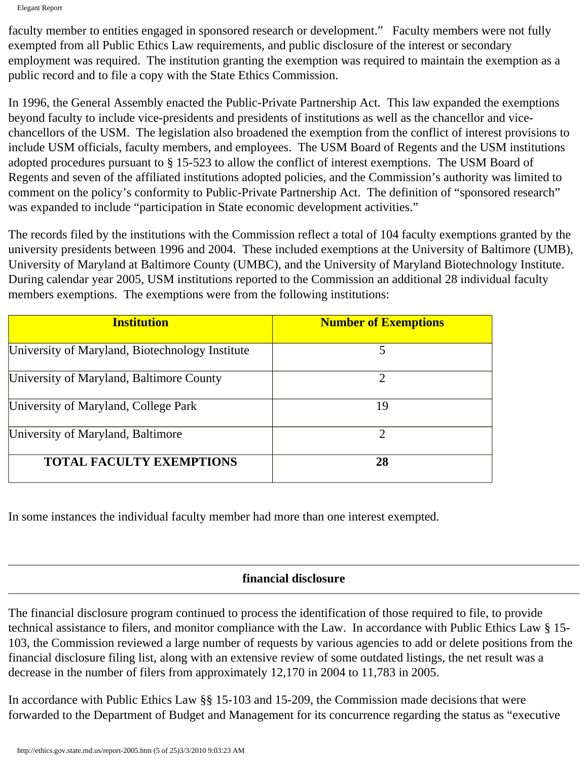Elegant Report

faculty member to entities engaged in sponsored research or development." Faculty members were not fully exempted from all Public Ethics Law requirements, and public disclosure of the interest or secondary employment was required. The institution granting the exemption was required to maintain the exemption as a public record and to file a copy with the State Ethics Commission.

In 1996, the General Assembly enacted the Public-Private Partnership Act. This law expanded the exemptions beyond faculty to include vice-presidents and presidents of institutions as well as the chancellor and vicechancellors of the USM. The legislation also broadened the exemption from the conflict of interest provisions to include USM officials, faculty members, and employees. The USM Board of Regents and the USM institutions adopted procedures pursuant to § 15-523 to allow the conflict of interest exemptions. The USM Board of Regents and seven of the affiliated institutions adopted policies, and the Commission's authority was limited to comment on the policy's conformity to Public-Private Partnership Act. The definition of "sponsored research" was expanded to include "participation in State economic development activities."

The records filed by the institutions with the Commission reflect a total of 104 faculty exemptions granted by the university presidents between 1996 and 2004. These included exemptions at the University of Baltimore (UMB), University of Maryland at Baltimore County (UMBC), and the University of Maryland Biotechnology Institute. During calendar year 2005, USM institutions reported to the Commission an additional 28 individual faculty members exemptions. The exemptions were from the following institutions:

| <b>Institution</b>                              | <b>Number of Exemptions</b> |
|-------------------------------------------------|-----------------------------|
| University of Maryland, Biotechnology Institute | 5                           |
| University of Maryland, Baltimore County        | $\mathcal{D}$               |
| University of Maryland, College Park            | 19                          |
| University of Maryland, Baltimore               | $\mathcal{D}$               |
| <b>TOTAL FACULTY EXEMPTIONS</b>                 | 28                          |

In some instances the individual faculty member had more than one interest exempted.

# **financial disclosure**

The financial disclosure program continued to process the identification of those required to file, to provide technical assistance to filers, and monitor compliance with the Law. In accordance with Public Ethics Law § 15- 103, the Commission reviewed a large number of requests by various agencies to add or delete positions from the financial disclosure filing list, along with an extensive review of some outdated listings, the net result was a decrease in the number of filers from approximately 12,170 in 2004 to 11,783 in 2005.

In accordance with Public Ethics Law §§ 15-103 and 15-209, the Commission made decisions that were forwarded to the Department of Budget and Management for its concurrence regarding the status as "executive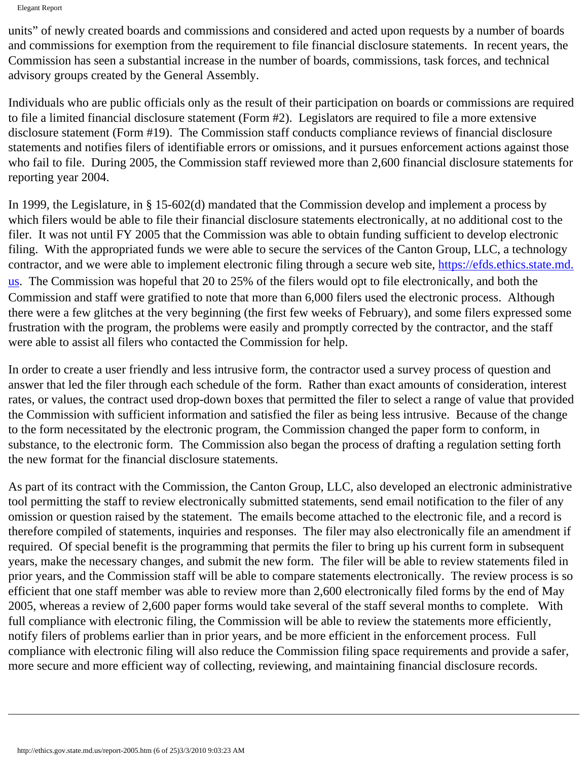Elegant Report

units" of newly created boards and commissions and considered and acted upon requests by a number of boards and commissions for exemption from the requirement to file financial disclosure statements. In recent years, the Commission has seen a substantial increase in the number of boards, commissions, task forces, and technical advisory groups created by the General Assembly.

Individuals who are public officials only as the result of their participation on boards or commissions are required to file a limited financial disclosure statement (Form #2). Legislators are required to file a more extensive disclosure statement (Form #19). The Commission staff conducts compliance reviews of financial disclosure statements and notifies filers of identifiable errors or omissions, and it pursues enforcement actions against those who fail to file. During 2005, the Commission staff reviewed more than 2,600 financial disclosure statements for reporting year 2004.

In 1999, the Legislature, in § 15-602(d) mandated that the Commission develop and implement a process by which filers would be able to file their financial disclosure statements electronically, at no additional cost to the filer. It was not until FY 2005 that the Commission was able to obtain funding sufficient to develop electronic filing. With the appropriated funds we were able to secure the services of the Canton Group, LLC, a technology contractor, and we were able to implement electronic filing through a secure web site, [https://efds.ethics.state.md.](https://efds.ethics.state.md.us/) [us](https://efds.ethics.state.md.us/). The Commission was hopeful that 20 to 25% of the filers would opt to file electronically, and both the Commission and staff were gratified to note that more than 6,000 filers used the electronic process. Although there were a few glitches at the very beginning (the first few weeks of February), and some filers expressed some frustration with the program, the problems were easily and promptly corrected by the contractor, and the staff were able to assist all filers who contacted the Commission for help.

In order to create a user friendly and less intrusive form, the contractor used a survey process of question and answer that led the filer through each schedule of the form. Rather than exact amounts of consideration, interest rates, or values, the contract used drop-down boxes that permitted the filer to select a range of value that provided the Commission with sufficient information and satisfied the filer as being less intrusive. Because of the change to the form necessitated by the electronic program, the Commission changed the paper form to conform, in substance, to the electronic form. The Commission also began the process of drafting a regulation setting forth the new format for the financial disclosure statements.

As part of its contract with the Commission, the Canton Group, LLC, also developed an electronic administrative tool permitting the staff to review electronically submitted statements, send email notification to the filer of any omission or question raised by the statement. The emails become attached to the electronic file, and a record is therefore compiled of statements, inquiries and responses. The filer may also electronically file an amendment if required. Of special benefit is the programming that permits the filer to bring up his current form in subsequent years, make the necessary changes, and submit the new form. The filer will be able to review statements filed in prior years, and the Commission staff will be able to compare statements electronically. The review process is so efficient that one staff member was able to review more than 2,600 electronically filed forms by the end of May 2005, whereas a review of 2,600 paper forms would take several of the staff several months to complete. With full compliance with electronic filing, the Commission will be able to review the statements more efficiently, notify filers of problems earlier than in prior years, and be more efficient in the enforcement process. Full compliance with electronic filing will also reduce the Commission filing space requirements and provide a safer, more secure and more efficient way of collecting, reviewing, and maintaining financial disclosure records.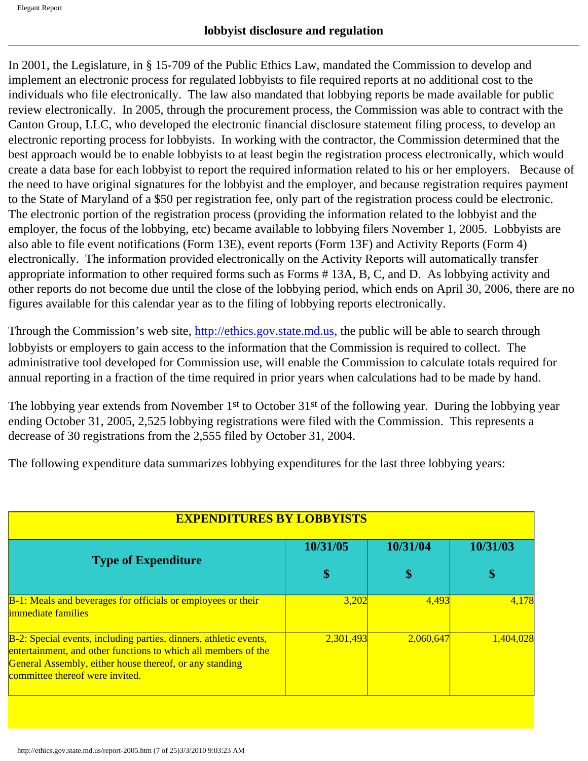In 2001, the Legislature, in § 15-709 of the Public Ethics Law, mandated the Commission to develop and implement an electronic process for regulated lobbyists to file required reports at no additional cost to the individuals who file electronically. The law also mandated that lobbying reports be made available for public review electronically. In 2005, through the procurement process, the Commission was able to contract with the Canton Group, LLC, who developed the electronic financial disclosure statement filing process, to develop an electronic reporting process for lobbyists. In working with the contractor, the Commission determined that the best approach would be to enable lobbyists to at least begin the registration process electronically, which would create a data base for each lobbyist to report the required information related to his or her employers. Because of the need to have original signatures for the lobbyist and the employer, and because registration requires payment to the State of Maryland of a \$50 per registration fee, only part of the registration process could be electronic. The electronic portion of the registration process (providing the information related to the lobbyist and the employer, the focus of the lobbying, etc) became available to lobbying filers November 1, 2005. Lobbyists are also able to file event notifications (Form 13E), event reports (Form 13F) and Activity Reports (Form 4) electronically. The information provided electronically on the Activity Reports will automatically transfer appropriate information to other required forms such as Forms # 13A, B, C, and D. As lobbying activity and other reports do not become due until the close of the lobbying period, which ends on April 30, 2006, there are no figures available for this calendar year as to the filing of lobbying reports electronically.

Through the Commission's web site, [http://ethics.gov.state.md.us](http://ethics.gov.state.md.us/), the public will be able to search through lobbyists or employers to gain access to the information that the Commission is required to collect. The administrative tool developed for Commission use, will enable the Commission to calculate totals required for annual reporting in a fraction of the time required in prior years when calculations had to be made by hand.

The lobbying year extends from November 1<sup>st</sup> to October 31<sup>st</sup> of the following year. During the lobbying year ending October 31, 2005, 2,525 lobbying registrations were filed with the Commission. This represents a decrease of 30 registrations from the 2,555 filed by October 31, 2004.

The following expenditure data summarizes lobbying expenditures for the last three lobbying years:

| <b>EXPENDITURES BY LOBBYISTS</b>                                                                                                                                                                                                  |           |           |           |
|-----------------------------------------------------------------------------------------------------------------------------------------------------------------------------------------------------------------------------------|-----------|-----------|-----------|
|                                                                                                                                                                                                                                   | 10/31/05  | 10/31/04  | 10/31/03  |
| <b>Type of Expenditure</b>                                                                                                                                                                                                        | \$        | \$        | \$        |
| B-1: Meals and beverages for officials or employees or their<br><i>immediate families</i>                                                                                                                                         | 3,202     | 4,493     | 4,178     |
| B-2: Special events, including parties, dinners, athletic events,<br>entertainment, and other functions to which all members of the<br>General Assembly, either house thereof, or any standing<br>committee thereof were invited. | 2,301,493 | 2,060,647 | 1,404,028 |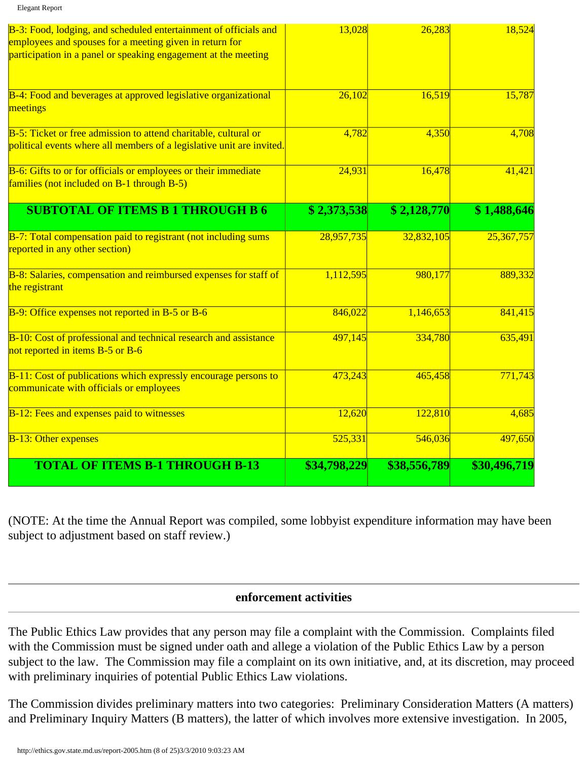| B-3: Food, lodging, and scheduled entertainment of officials and                                             | 13,028       | 26,283       | 18,524       |
|--------------------------------------------------------------------------------------------------------------|--------------|--------------|--------------|
| employees and spouses for a meeting given in return for                                                      |              |              |              |
| participation in a panel or speaking engagement at the meeting                                               |              |              |              |
| B-4: Food and beverages at approved legislative organizational                                               | 26,102       | 16,519       | 15,787       |
| meetings                                                                                                     |              |              |              |
| B-5: Ticket or free admission to attend charitable, cultural or                                              | 4,782        | 4,350        | 4,708        |
| political events where all members of a legislative unit are invited.                                        |              |              |              |
| B-6: Gifts to or for officials or employees or their immediate<br>families (not included on B-1 through B-5) | 24,931       | 16,478       | 41,421       |
|                                                                                                              |              |              |              |
| <b>SUBTOTAL OF ITEMS B 1 THROUGH B 6</b>                                                                     | \$2,373,538  | \$2,128,770  | \$1,488,646  |
| B-7: Total compensation paid to registrant (not including sums<br>reported in any other section)             | 28,957,735   | 32,832,105   | 25,367,757   |
|                                                                                                              |              |              |              |
| B-8: Salaries, compensation and reimbursed expenses for staff of<br>the registrant                           | 1,112,595    | 980,177      | 889,332      |
| B-9: Office expenses not reported in B-5 or B-6                                                              | 846,022      | 1,146,653    | 841,415      |
| B-10: Cost of professional and technical research and assistance<br>not reported in items B-5 or B-6         | 497,145      | 334,780      | 635,491      |
|                                                                                                              |              |              |              |
| B-11: Cost of publications which expressly encourage persons to<br>communicate with officials or employees   | 473,243      | 465,458      | 771,743      |
| B-12: Fees and expenses paid to witnesses                                                                    | 12,620       | 122,810      | 4,685        |
| <b>B-13: Other expenses</b>                                                                                  | 525,331      | 546,036      | 497,650      |
| <b>TOTAL OF ITEMS B-1 THROUGH B-13</b>                                                                       | \$34,798,229 | \$38,556,789 | \$30,496,719 |

(NOTE: At the time the Annual Report was compiled, some lobbyist expenditure information may have been subject to adjustment based on staff review.)

#### **enforcement activities**

The Public Ethics Law provides that any person may file a complaint with the Commission. Complaints filed with the Commission must be signed under oath and allege a violation of the Public Ethics Law by a person subject to the law. The Commission may file a complaint on its own initiative, and, at its discretion, may proceed with preliminary inquiries of potential Public Ethics Law violations.

The Commission divides preliminary matters into two categories: Preliminary Consideration Matters (A matters) and Preliminary Inquiry Matters (B matters), the latter of which involves more extensive investigation. In 2005,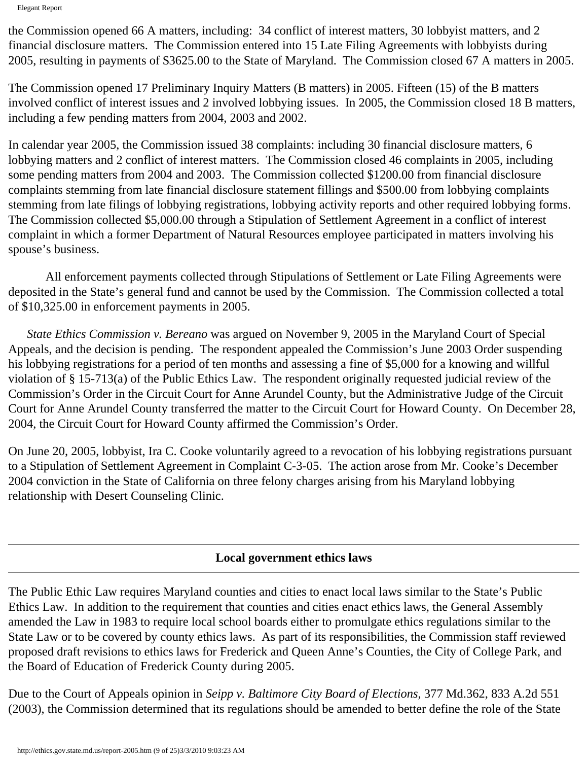Elegant Report

the Commission opened 66 A matters, including: 34 conflict of interest matters, 30 lobbyist matters, and 2 financial disclosure matters. The Commission entered into 15 Late Filing Agreements with lobbyists during 2005, resulting in payments of \$3625.00 to the State of Maryland. The Commission closed 67 A matters in 2005.

The Commission opened 17 Preliminary Inquiry Matters (B matters) in 2005. Fifteen (15) of the B matters involved conflict of interest issues and 2 involved lobbying issues. In 2005, the Commission closed 18 B matters, including a few pending matters from 2004, 2003 and 2002.

In calendar year 2005, the Commission issued 38 complaints: including 30 financial disclosure matters, 6 lobbying matters and 2 conflict of interest matters. The Commission closed 46 complaints in 2005, including some pending matters from 2004 and 2003. The Commission collected \$1200.00 from financial disclosure complaints stemming from late financial disclosure statement fillings and \$500.00 from lobbying complaints stemming from late filings of lobbying registrations, lobbying activity reports and other required lobbying forms. The Commission collected \$5,000.00 through a Stipulation of Settlement Agreement in a conflict of interest complaint in which a former Department of Natural Resources employee participated in matters involving his spouse's business.

 All enforcement payments collected through Stipulations of Settlement or Late Filing Agreements were deposited in the State's general fund and cannot be used by the Commission. The Commission collected a total of \$10,325.00 in enforcement payments in 2005.

 *State Ethics Commission v. Bereano* was argued on November 9, 2005 in the Maryland Court of Special Appeals, and the decision is pending. The respondent appealed the Commission's June 2003 Order suspending his lobbying registrations for a period of ten months and assessing a fine of \$5,000 for a knowing and willful violation of § 15-713(a) of the Public Ethics Law. The respondent originally requested judicial review of the Commission's Order in the Circuit Court for Anne Arundel County, but the Administrative Judge of the Circuit Court for Anne Arundel County transferred the matter to the Circuit Court for Howard County. On December 28, 2004, the Circuit Court for Howard County affirmed the Commission's Order.

On June 20, 2005, lobbyist, Ira C. Cooke voluntarily agreed to a revocation of his lobbying registrations pursuant to a Stipulation of Settlement Agreement in Complaint C-3-05. The action arose from Mr. Cooke's December 2004 conviction in the State of California on three felony charges arising from his Maryland lobbying relationship with Desert Counseling Clinic.

# **Local government ethics laws**

The Public Ethic Law requires Maryland counties and cities to enact local laws similar to the State's Public Ethics Law. In addition to the requirement that counties and cities enact ethics laws, the General Assembly amended the Law in 1983 to require local school boards either to promulgate ethics regulations similar to the State Law or to be covered by county ethics laws. As part of its responsibilities, the Commission staff reviewed proposed draft revisions to ethics laws for Frederick and Queen Anne's Counties, the City of College Park, and the Board of Education of Frederick County during 2005.

Due to the Court of Appeals opinion in *Seipp v. Baltimore City Board of Elections*, 377 Md.362, 833 A.2d 551 (2003), the Commission determined that its regulations should be amended to better define the role of the State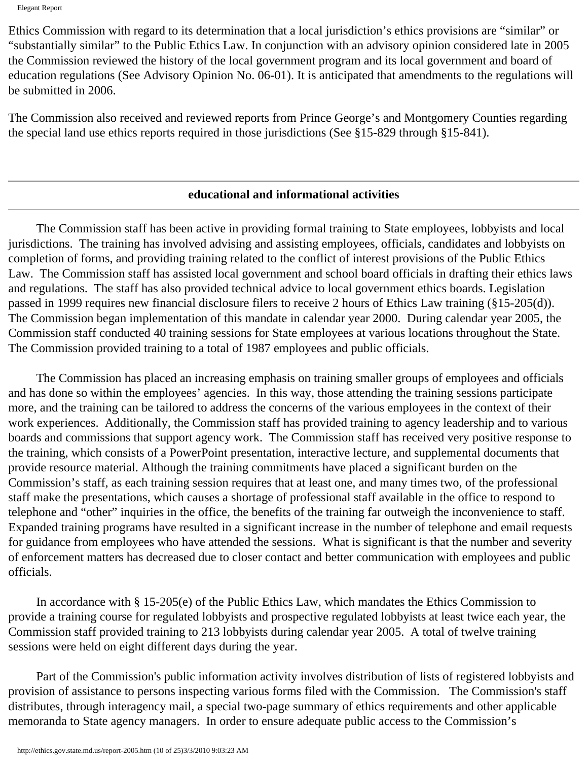Ethics Commission with regard to its determination that a local jurisdiction's ethics provisions are "similar" or "substantially similar" to the Public Ethics Law. In conjunction with an advisory opinion considered late in 2005 the Commission reviewed the history of the local government program and its local government and board of education regulations (See Advisory Opinion No. 06-01). It is anticipated that amendments to the regulations will be submitted in 2006.

The Commission also received and reviewed reports from Prince George's and Montgomery Counties regarding the special land use ethics reports required in those jurisdictions (See §15-829 through §15-841).

#### **educational and informational activities**

 The Commission staff has been active in providing formal training to State employees, lobbyists and local jurisdictions. The training has involved advising and assisting employees, officials, candidates and lobbyists on completion of forms, and providing training related to the conflict of interest provisions of the Public Ethics Law. The Commission staff has assisted local government and school board officials in drafting their ethics laws and regulations. The staff has also provided technical advice to local government ethics boards. Legislation passed in 1999 requires new financial disclosure filers to receive 2 hours of Ethics Law training (§15-205(d)). The Commission began implementation of this mandate in calendar year 2000. During calendar year 2005, the Commission staff conducted 40 training sessions for State employees at various locations throughout the State. The Commission provided training to a total of 1987 employees and public officials.

 The Commission has placed an increasing emphasis on training smaller groups of employees and officials and has done so within the employees' agencies. In this way, those attending the training sessions participate more, and the training can be tailored to address the concerns of the various employees in the context of their work experiences. Additionally, the Commission staff has provided training to agency leadership and to various boards and commissions that support agency work. The Commission staff has received very positive response to the training, which consists of a PowerPoint presentation, interactive lecture, and supplemental documents that provide resource material. Although the training commitments have placed a significant burden on the Commission's staff, as each training session requires that at least one, and many times two, of the professional staff make the presentations, which causes a shortage of professional staff available in the office to respond to telephone and "other" inquiries in the office, the benefits of the training far outweigh the inconvenience to staff. Expanded training programs have resulted in a significant increase in the number of telephone and email requests for guidance from employees who have attended the sessions. What is significant is that the number and severity of enforcement matters has decreased due to closer contact and better communication with employees and public officials.

 In accordance with § 15-205(e) of the Public Ethics Law, which mandates the Ethics Commission to provide a training course for regulated lobbyists and prospective regulated lobbyists at least twice each year, the Commission staff provided training to 213 lobbyists during calendar year 2005. A total of twelve training sessions were held on eight different days during the year.

 Part of the Commission's public information activity involves distribution of lists of registered lobbyists and provision of assistance to persons inspecting various forms filed with the Commission. The Commission's staff distributes, through interagency mail, a special two-page summary of ethics requirements and other applicable memoranda to State agency managers. In order to ensure adequate public access to the Commission's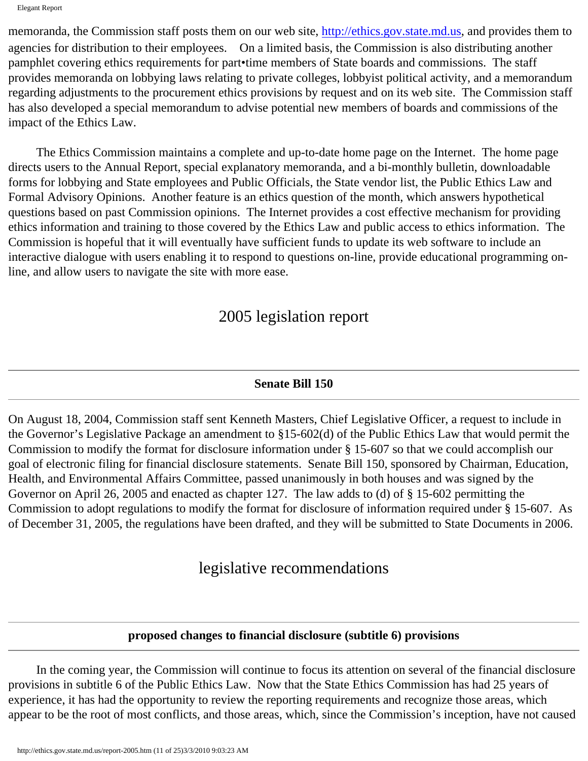Elegant Report

memoranda, the Commission staff posts them on our web site, [http://ethics.gov.state.md.us](http://ethics.gov.state.md.us/), and provides them to agencies for distribution to their employees. On a limited basis, the Commission is also distributing another pamphlet covering ethics requirements for part•time members of State boards and commissions. The staff provides memoranda on lobbying laws relating to private colleges, lobbyist political activity, and a memorandum regarding adjustments to the procurement ethics provisions by request and on its web site. The Commission staff has also developed a special memorandum to advise potential new members of boards and commissions of the impact of the Ethics Law.

 The Ethics Commission maintains a complete and up-to-date home page on the Internet. The home page directs users to the Annual Report, special explanatory memoranda, and a bi-monthly bulletin, downloadable forms for lobbying and State employees and Public Officials, the State vendor list, the Public Ethics Law and Formal Advisory Opinions. Another feature is an ethics question of the month, which answers hypothetical questions based on past Commission opinions. The Internet provides a cost effective mechanism for providing ethics information and training to those covered by the Ethics Law and public access to ethics information. The Commission is hopeful that it will eventually have sufficient funds to update its web software to include an interactive dialogue with users enabling it to respond to questions on-line, provide educational programming online, and allow users to navigate the site with more ease.

# 2005 legislation report

# **Senate Bill 150**

On August 18, 2004, Commission staff sent Kenneth Masters, Chief Legislative Officer, a request to include in the Governor's Legislative Package an amendment to §15-602(d) of the Public Ethics Law that would permit the Commission to modify the format for disclosure information under § 15-607 so that we could accomplish our goal of electronic filing for financial disclosure statements. Senate Bill 150, sponsored by Chairman, Education, Health, and Environmental Affairs Committee, passed unanimously in both houses and was signed by the Governor on April 26, 2005 and enacted as chapter 127. The law adds to (d) of § 15-602 permitting the Commission to adopt regulations to modify the format for disclosure of information required under § 15-607. As of December 31, 2005, the regulations have been drafted, and they will be submitted to State Documents in 2006.

# legislative recommendations

# **proposed changes to financial disclosure (subtitle 6) provisions**

 In the coming year, the Commission will continue to focus its attention on several of the financial disclosure provisions in subtitle 6 of the Public Ethics Law. Now that the State Ethics Commission has had 25 years of experience, it has had the opportunity to review the reporting requirements and recognize those areas, which appear to be the root of most conflicts, and those areas, which, since the Commission's inception, have not caused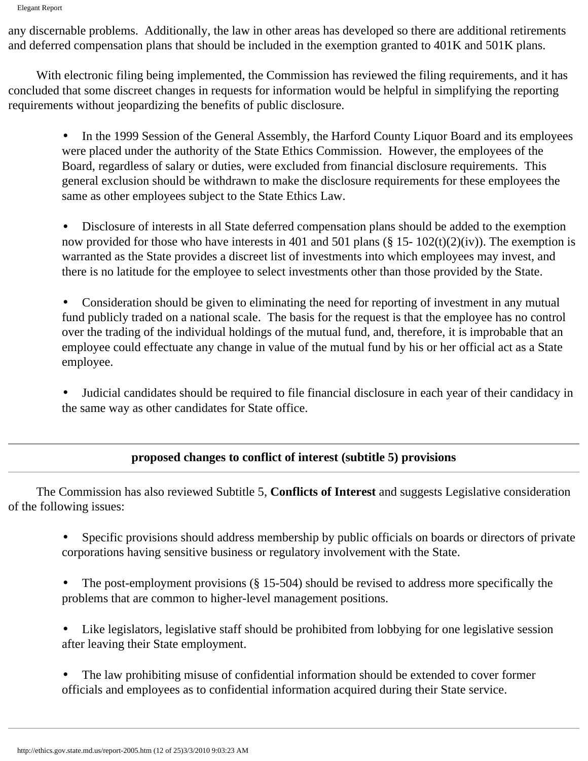any discernable problems. Additionally, the law in other areas has developed so there are additional retirements and deferred compensation plans that should be included in the exemption granted to 401K and 501K plans.

 With electronic filing being implemented, the Commission has reviewed the filing requirements, and it has concluded that some discreet changes in requests for information would be helpful in simplifying the reporting requirements without jeopardizing the benefits of public disclosure.

• In the 1999 Session of the General Assembly, the Harford County Liquor Board and its employees were placed under the authority of the State Ethics Commission. However, the employees of the Board, regardless of salary or duties, were excluded from financial disclosure requirements. This general exclusion should be withdrawn to make the disclosure requirements for these employees the same as other employees subject to the State Ethics Law.

• Disclosure of interests in all State deferred compensation plans should be added to the exemption now provided for those who have interests in 401 and 501 plans (§ 15-  $102(t)(2)(iv)$ ). The exemption is warranted as the State provides a discreet list of investments into which employees may invest, and there is no latitude for the employee to select investments other than those provided by the State.

• Consideration should be given to eliminating the need for reporting of investment in any mutual fund publicly traded on a national scale. The basis for the request is that the employee has no control over the trading of the individual holdings of the mutual fund, and, therefore, it is improbable that an employee could effectuate any change in value of the mutual fund by his or her official act as a State employee.

• Judicial candidates should be required to file financial disclosure in each year of their candidacy in the same way as other candidates for State office.

# **proposed changes to conflict of interest (subtitle 5) provisions**

 The Commission has also reviewed Subtitle 5, **Conflicts of Interest** and suggests Legislative consideration of the following issues:

- Specific provisions should address membership by public officials on boards or directors of private corporations having sensitive business or regulatory involvement with the State.
- The post-employment provisions (§ 15-504) should be revised to address more specifically the problems that are common to higher-level management positions.

Like legislators, legislative staff should be prohibited from lobbying for one legislative session after leaving their State employment.

The law prohibiting misuse of confidential information should be extended to cover former officials and employees as to confidential information acquired during their State service.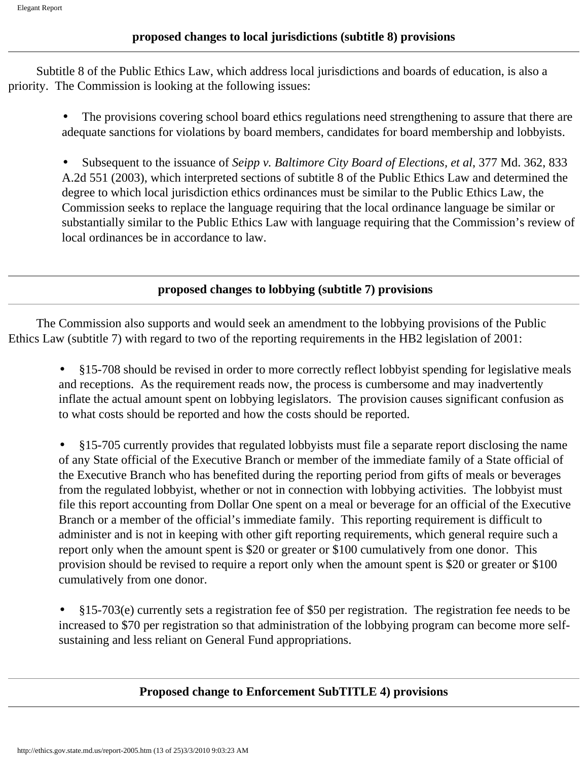#### **proposed changes to local jurisdictions (subtitle 8) provisions**

 Subtitle 8 of the Public Ethics Law, which address local jurisdictions and boards of education, is also a priority. The Commission is looking at the following issues:

The provisions covering school board ethics regulations need strengthening to assure that there are adequate sanctions for violations by board members, candidates for board membership and lobbyists.

• Subsequent to the issuance of *Seipp v. Baltimore City Board of Elections, et al*, 377 Md. 362, 833 A.2d 551 (2003), which interpreted sections of subtitle 8 of the Public Ethics Law and determined the degree to which local jurisdiction ethics ordinances must be similar to the Public Ethics Law, the Commission seeks to replace the language requiring that the local ordinance language be similar or substantially similar to the Public Ethics Law with language requiring that the Commission's review of local ordinances be in accordance to law.

#### **proposed changes to lobbying (subtitle 7) provisions**

 The Commission also supports and would seek an amendment to the lobbying provisions of the Public Ethics Law (subtitle 7) with regard to two of the reporting requirements in the HB2 legislation of 2001:

- §15-708 should be revised in order to more correctly reflect lobbyist spending for legislative meals and receptions. As the requirement reads now, the process is cumbersome and may inadvertently inflate the actual amount spent on lobbying legislators. The provision causes significant confusion as to what costs should be reported and how the costs should be reported.
- §15-705 currently provides that regulated lobbyists must file a separate report disclosing the name of any State official of the Executive Branch or member of the immediate family of a State official of the Executive Branch who has benefited during the reporting period from gifts of meals or beverages from the regulated lobbyist, whether or not in connection with lobbying activities. The lobbyist must file this report accounting from Dollar One spent on a meal or beverage for an official of the Executive Branch or a member of the official's immediate family. This reporting requirement is difficult to administer and is not in keeping with other gift reporting requirements, which general require such a report only when the amount spent is \$20 or greater or \$100 cumulatively from one donor. This provision should be revised to require a report only when the amount spent is \$20 or greater or \$100 cumulatively from one donor.
- §15-703(e) currently sets a registration fee of \$50 per registration. The registration fee needs to be increased to \$70 per registration so that administration of the lobbying program can become more selfsustaining and less reliant on General Fund appropriations.

#### **Proposed change to Enforcement SubTITLE 4) provisions**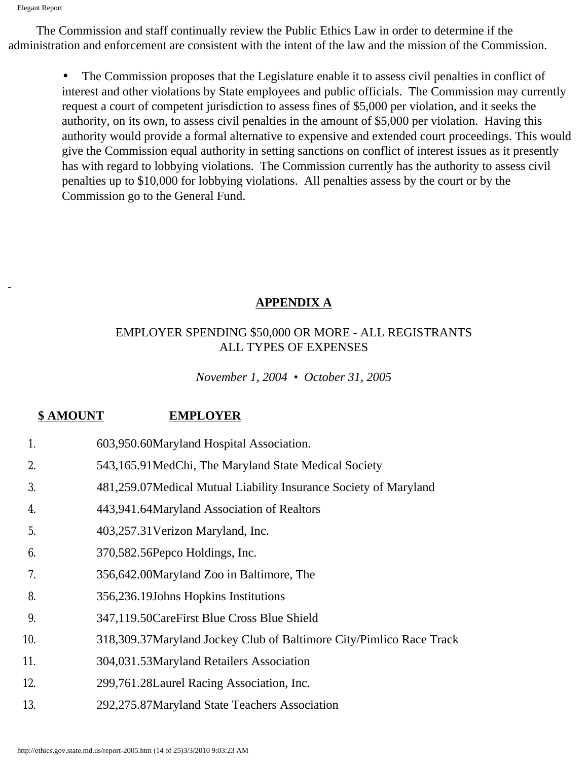The Commission and staff continually review the Public Ethics Law in order to determine if the administration and enforcement are consistent with the intent of the law and the mission of the Commission.

• The Commission proposes that the Legislature enable it to assess civil penalties in conflict of interest and other violations by State employees and public officials. The Commission may currently request a court of competent jurisdiction to assess fines of \$5,000 per violation, and it seeks the authority, on its own, to assess civil penalties in the amount of \$5,000 per violation. Having this authority would provide a formal alternative to expensive and extended court proceedings. This would give the Commission equal authority in setting sanctions on conflict of interest issues as it presently has with regard to lobbying violations. The Commission currently has the authority to assess civil penalties up to \$10,000 for lobbying violations. All penalties assess by the court or by the Commission go to the General Fund.

# **APPENDIX A**

## EMPLOYER SPENDING \$50,000 OR MORE - ALL REGISTRANTS ALL TYPES OF EXPENSES

*November 1, 2004 • October 31, 2005*

# **\$ AMOUNT EMPLOYER**

- 1. 603,950.60Maryland Hospital Association.
- 2. 543,165.91MedChi, The Maryland State Medical Society
- 3. 481,259.07Medical Mutual Liability Insurance Society of Maryland
- 4. 443,941.64Maryland Association of Realtors
- 5. 403,257.31Verizon Maryland, Inc.
- 6. 370,582.56Pepco Holdings, Inc.
- 7. 356,642.00Maryland Zoo in Baltimore, The
- 8. 356,236.19Johns Hopkins Institutions
- 9. 347,119.50CareFirst Blue Cross Blue Shield
- 10. 318,309.37Maryland Jockey Club of Baltimore City/Pimlico Race Track
- 11. 304,031.53Maryland Retailers Association
- 12. 299,761.28Laurel Racing Association, Inc.
- 13. 292,275.87Maryland State Teachers Association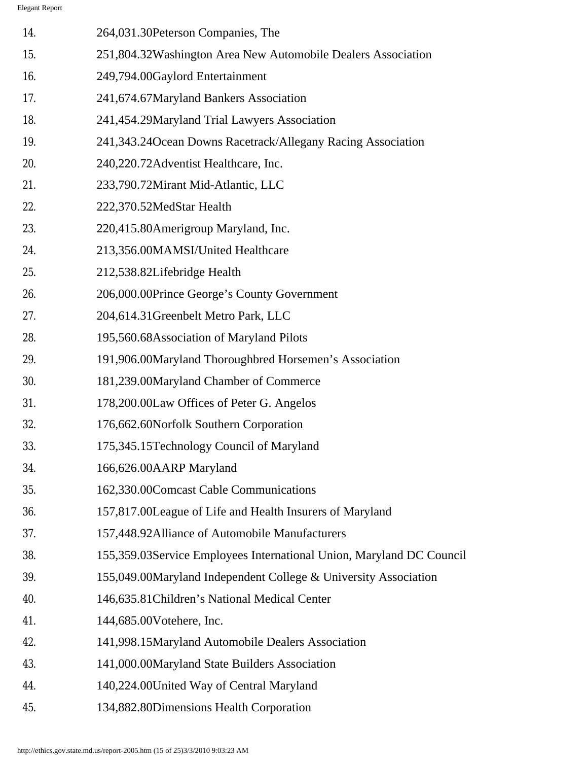| 14. | 264,031.30 Peterson Companies, The                                   |
|-----|----------------------------------------------------------------------|
| 15. | 251,804.32Washington Area New Automobile Dealers Association         |
| 16. | 249,794.00Gaylord Entertainment                                      |
| 17. | 241,674.67 Maryland Bankers Association                              |
| 18. | 241,454.29Maryland Trial Lawyers Association                         |
| 19. | 241,343.24 Ocean Downs Racetrack/Allegany Racing Association         |
| 20. | 240,220.72Adventist Healthcare, Inc.                                 |
| 21. | 233,790.72Mirant Mid-Atlantic, LLC                                   |
| 22. | 222,370.52MedStar Health                                             |
| 23. | 220,415.80Amerigroup Maryland, Inc.                                  |
| 24. | 213,356.00MAMSI/United Healthcare                                    |
| 25. | 212,538.82Lifebridge Health                                          |
| 26. | 206,000.00Prince George's County Government                          |
| 27. | 204,614.31Greenbelt Metro Park, LLC                                  |
| 28. | 195,560.68Association of Maryland Pilots                             |
| 29. | 191,906.00Maryland Thoroughbred Horsemen's Association               |
| 30. | 181,239.00Maryland Chamber of Commerce                               |
| 31. | 178,200.00Law Offices of Peter G. Angelos                            |
| 32. | 176,662.60Norfolk Southern Corporation                               |
| 33. | 175,345.15Technology Council of Maryland                             |
| 34. | 166,626.00AARP Maryland                                              |
| 35. | 162,330.00Comcast Cable Communications                               |
| 36. | 157,817.00League of Life and Health Insurers of Maryland             |
| 37. | 157,448.92Alliance of Automobile Manufacturers                       |
| 38. | 155,359.03Service Employees International Union, Maryland DC Council |
| 39. | 155,049.00Maryland Independent College & University Association      |
| 40. | 146,635.81 Children's National Medical Center                        |
| 41. | 144,685.00Votehere, Inc.                                             |
| 42. | 141,998.15Maryland Automobile Dealers Association                    |
| 43. | 141,000.00Maryland State Builders Association                        |
| 44. | 140,224.00United Way of Central Maryland                             |
| 45. | 134,882.80Dimensions Health Corporation                              |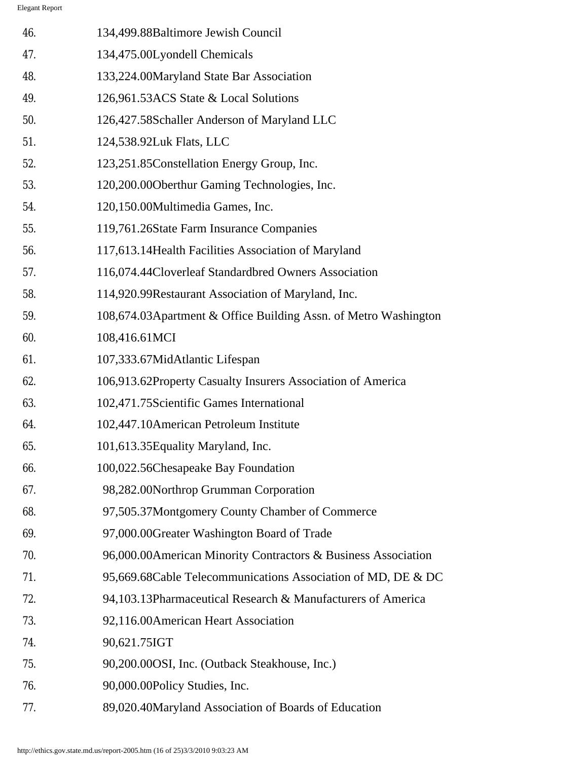| 46. | 134,499.88Baltimore Jewish Council                              |
|-----|-----------------------------------------------------------------|
| 47. | 134,475.00Lyondell Chemicals                                    |
| 48. | 133,224.00Maryland State Bar Association                        |
| 49. | 126,961.53ACS State & Local Solutions                           |
| 50. | 126,427.58Schaller Anderson of Maryland LLC                     |
| 51. | 124,538.92Luk Flats, LLC                                        |
| 52. | 123,251.85Constellation Energy Group, Inc.                      |
| 53. | 120,200.00 Oberthur Gaming Technologies, Inc.                   |
| 54. | 120,150.00Multimedia Games, Inc.                                |
| 55. | 119,761.26State Farm Insurance Companies                        |
| 56. | 117,613.14 Health Facilities Association of Maryland            |
| 57. | 116,074.44Cloverleaf Standardbred Owners Association            |
| 58. | 114,920.99Restaurant Association of Maryland, Inc.              |
| 59. | 108,674.03Apartment & Office Building Assn. of Metro Washington |
| 60. | 108,416.61MCI                                                   |
| 61. | 107,333.67MidAtlantic Lifespan                                  |
| 62. | 106,913.62Property Casualty Insurers Association of America     |
| 63. | 102,471.75Scientific Games International                        |
| 64. | 102,447.10American Petroleum Institute                          |
| 65. | 101,613.35 Equality Maryland, Inc.                              |
| 66. | 100,022.56Chesapeake Bay Foundation                             |
| 67. | 98,282.00Northrop Grumman Corporation                           |
| 68. | 97,505.37Montgomery County Chamber of Commerce                  |
| 69. | 97,000.00Greater Washington Board of Trade                      |
| 70. | 96,000.00American Minority Contractors & Business Association   |
| 71. | 95,669.68Cable Telecommunications Association of MD, DE & DC    |
| 72. | 94,103.13Pharmaceutical Research & Manufacturers of America     |
| 73. | 92,116.00American Heart Association                             |
| 74. | 90,621.75IGT                                                    |
| 75. | 90,200.00OSI, Inc. (Outback Steakhouse, Inc.)                   |
| 76. | 90,000.00Policy Studies, Inc.                                   |
| 77. | 89,020.40Maryland Association of Boards of Education            |
|     |                                                                 |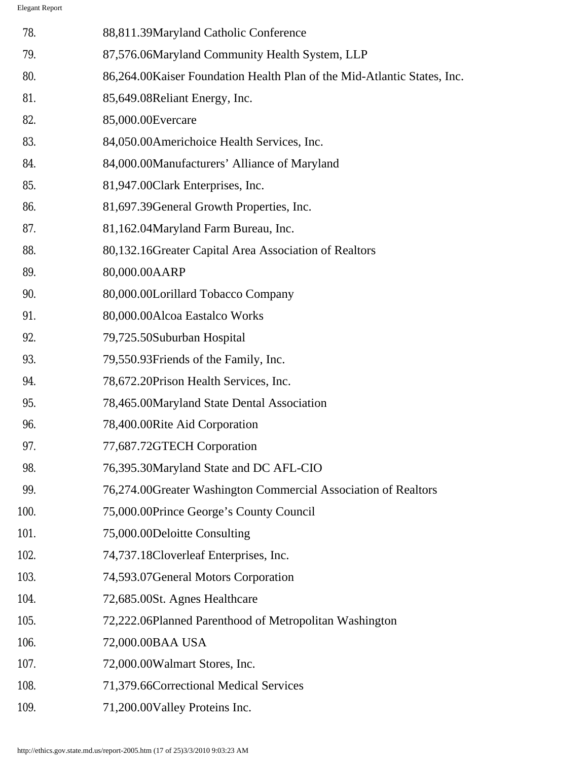| 78.  | 88,811.39Maryland Catholic Conference                                    |
|------|--------------------------------------------------------------------------|
| 79.  | 87,576.06Maryland Community Health System, LLP                           |
| 80.  | 86,264.00 Kaiser Foundation Health Plan of the Mid-Atlantic States, Inc. |
| 81.  | 85,649.08Reliant Energy, Inc.                                            |
| 82.  | 85,000.00Evercare                                                        |
| 83.  | 84,050.00Americhoice Health Services, Inc.                               |
| 84.  | 84,000.00Manufacturers' Alliance of Maryland                             |
| 85.  | 81,947.00Clark Enterprises, Inc.                                         |
| 86.  | 81,697.39General Growth Properties, Inc.                                 |
| 87.  | 81,162.04Maryland Farm Bureau, Inc.                                      |
| 88.  | 80,132.16 Greater Capital Area Association of Realtors                   |
| 89.  | 80,000.00AARP                                                            |
| 90.  | 80,000.00Lorillard Tobacco Company                                       |
| 91.  | 80,000.00Alcoa Eastalco Works                                            |
| 92.  | 79,725.50Suburban Hospital                                               |
| 93.  | 79,550.93 Friends of the Family, Inc.                                    |
| 94.  | 78,672.20Prison Health Services, Inc.                                    |
| 95.  | 78,465.00Maryland State Dental Association                               |
| 96.  | 78,400.00Rite Aid Corporation                                            |
| 97.  | 77,687.72GTECH Corporation                                               |
| 98.  | 76,395.30Maryland State and DC AFL-CIO                                   |
| 99.  | 76,274.00Greater Washington Commercial Association of Realtors           |
| 100. | 75,000.00Prince George's County Council                                  |
| 101. | 75,000.00Deloitte Consulting                                             |
| 102. | 74,737.18Cloverleaf Enterprises, Inc.                                    |
| 103. | 74,593.07 General Motors Corporation                                     |
| 104. | 72,685.00St. Agnes Healthcare                                            |
| 105. | 72,222.06Planned Parenthood of Metropolitan Washington                   |
| 106. | 72,000.00BAA USA                                                         |
| 107. | 72,000.00Walmart Stores, Inc.                                            |
| 108. | 71,379.66Correctional Medical Services                                   |
| 109. | 71,200.00 Valley Proteins Inc.                                           |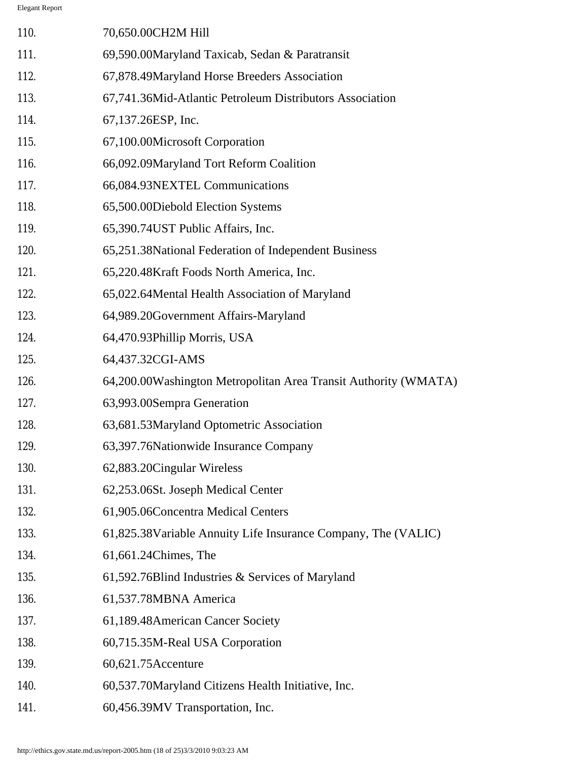| 110. | 70,650.00CH2M Hill                                              |
|------|-----------------------------------------------------------------|
| 111. | 69,590.00Maryland Taxicab, Sedan & Paratransit                  |
| 112. | 67,878.49Maryland Horse Breeders Association                    |
| 113. | 67,741.36Mid-Atlantic Petroleum Distributors Association        |
| 114. | 67,137.26ESP, Inc.                                              |
| 115. | 67,100.00Microsoft Corporation                                  |
| 116. | 66,092.09Maryland Tort Reform Coalition                         |
| 117. | 66,084.93NEXTEL Communications                                  |
| 118. | 65,500.00Diebold Election Systems                               |
| 119. | 65,390.74UST Public Affairs, Inc.                               |
| 120. | 65,251.38 National Federation of Independent Business           |
| 121. | 65,220.48Kraft Foods North America, Inc.                        |
| 122. | 65,022.64Mental Health Association of Maryland                  |
| 123. | 64,989.20Government Affairs-Maryland                            |
| 124. | 64,470.93Phillip Morris, USA                                    |
| 125. | 64,437.32CGI-AMS                                                |
| 126. | 64,200.00Washington Metropolitan Area Transit Authority (WMATA) |
| 127. | 63,993.00Sempra Generation                                      |
| 128. | 63,681.53Maryland Optometric Association                        |
| 129. | 63,397.76 Nationwide Insurance Company                          |
| 130. | 62,883.20 Cingular Wireless                                     |
| 131. | 62,253.06St. Joseph Medical Center                              |
| 132. | 61,905.06Concentra Medical Centers                              |
| 133. | 61,825.38 Variable Annuity Life Insurance Company, The (VALIC)  |
| 134. | 61,661.24Chimes, The                                            |
| 135. | 61,592.76Blind Industries & Services of Maryland                |
| 136. | 61,537.78MBNA America                                           |
| 137. | 61,189.48American Cancer Society                                |
| 138. | 60,715.35M-Real USA Corporation                                 |
| 139. | 60,621.75Accenture                                              |
| 140. | 60,537.70Maryland Citizens Health Initiative, Inc.              |
| 141. | 60,456.39MV Transportation, Inc.                                |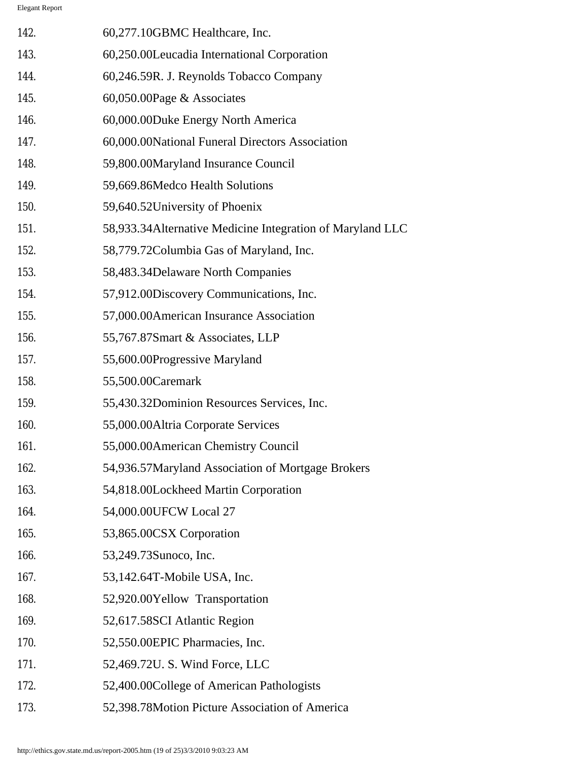| 142. | 60,277.10GBMC Healthcare, Inc.                             |
|------|------------------------------------------------------------|
| 143. | 60,250.00Leucadia International Corporation                |
| 144. | 60,246.59R. J. Reynolds Tobacco Company                    |
| 145. | 60,050.00Page & Associates                                 |
| 146. | 60,000.00Duke Energy North America                         |
| 147. | 60,000.00National Funeral Directors Association            |
| 148. | 59,800.00Maryland Insurance Council                        |
| 149. | 59,669.86Medco Health Solutions                            |
| 150. | 59,640.52University of Phoenix                             |
| 151. | 58,933.34 Alternative Medicine Integration of Maryland LLC |
| 152. | 58,779.72Columbia Gas of Maryland, Inc.                    |
| 153. | 58,483.34Delaware North Companies                          |
| 154. | 57,912.00Discovery Communications, Inc.                    |
| 155. | 57,000.00American Insurance Association                    |
| 156. | 55,767.87Smart & Associates, LLP                           |
| 157. | 55,600.00Progressive Maryland                              |
| 158. | 55,500.00 Caremark                                         |
| 159. | 55,430.32Dominion Resources Services, Inc.                 |
| 160. | 55,000.00Altria Corporate Services                         |
| 161  | 55,000.00 American Chemistry Council                       |
| 162. | 54,936.57Maryland Association of Mortgage Brokers          |
| 163. | 54,818.00Lockheed Martin Corporation                       |
| 164. | 54,000.00UFCW Local 27                                     |
| 165. | 53,865.00CSX Corporation                                   |
| 166. | 53,249.73Sunoco, Inc.                                      |
| 167. | 53,142.64T-Mobile USA, Inc.                                |
| 168. | 52,920.00Yellow Transportation                             |
| 169. | 52,617.58SCI Atlantic Region                               |
| 170. | 52,550.00EPIC Pharmacies, Inc.                             |
| 171. | 52,469.72U. S. Wind Force, LLC                             |
| 172. | 52,400.00College of American Pathologists                  |
| 173. | 52,398.78Motion Picture Association of America             |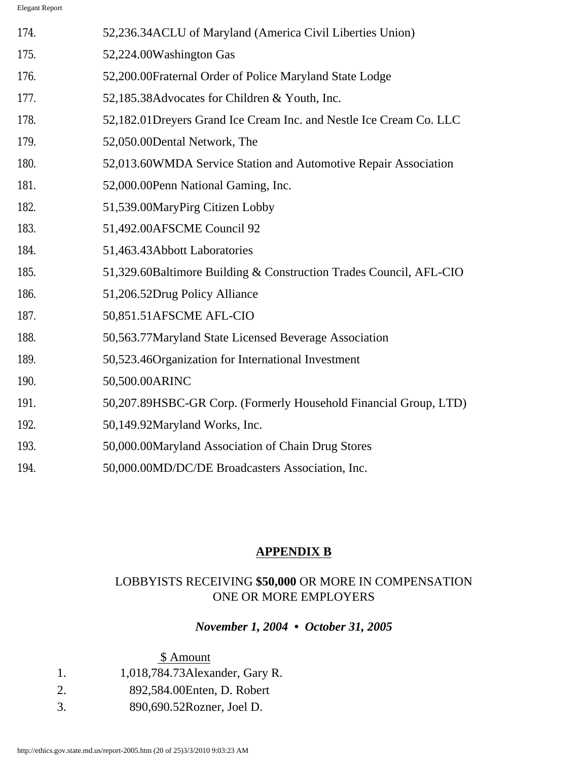| 174. | 52,236.34 ACLU of Maryland (America Civil Liberties Union)          |
|------|---------------------------------------------------------------------|
| 175. | 52,224.00Washington Gas                                             |
| 176. | 52,200.00Fraternal Order of Police Maryland State Lodge             |
| 177. | 52,185.38Advocates for Children & Youth, Inc.                       |
| 178. | 52,182.01 Dreyers Grand Ice Cream Inc. and Nestle Ice Cream Co. LLC |
| 179. | 52,050.00Dental Network, The                                        |
| 180. | 52,013.60WMDA Service Station and Automotive Repair Association     |
| 181. | 52,000.00 Penn National Gaming, Inc.                                |
| 182. | 51,539.00MaryPirg Citizen Lobby                                     |
| 183. | 51,492.00AFSCME Council 92                                          |
| 184. | 51,463.43Abbott Laboratories                                        |
| 185. | 51,329.60Baltimore Building & Construction Trades Council, AFL-CIO  |
| 186. | 51,206.52Drug Policy Alliance                                       |
| 187. | 50,851.51AFSCME AFL-CIO                                             |
| 188. | 50,563.77Maryland State Licensed Beverage Association               |
| 189. | 50,523.46Organization for International Investment                  |
| 190. | 50,500.00ARINC                                                      |
| 191. | 50,207.89HSBC-GR Corp. (Formerly Household Financial Group, LTD)    |
| 192. | 50,149.92Maryland Works, Inc.                                       |
| 193. | 50,000.00Maryland Association of Chain Drug Stores                  |
| 194. | 50,000.00MD/DC/DE Broadcasters Association, Inc.                    |

# **APPENDIX B**

# LOBBYISTS RECEIVING **\$50,000** OR MORE IN COMPENSATION ONE OR MORE EMPLOYERS

# *November 1, 2004 • October 31, 2005*

# \$ Amount

- 1. 1,018,784.73Alexander, Gary R.
- 2. 892,584.00Enten, D. Robert
- 3. 890,690.52Rozner, Joel D.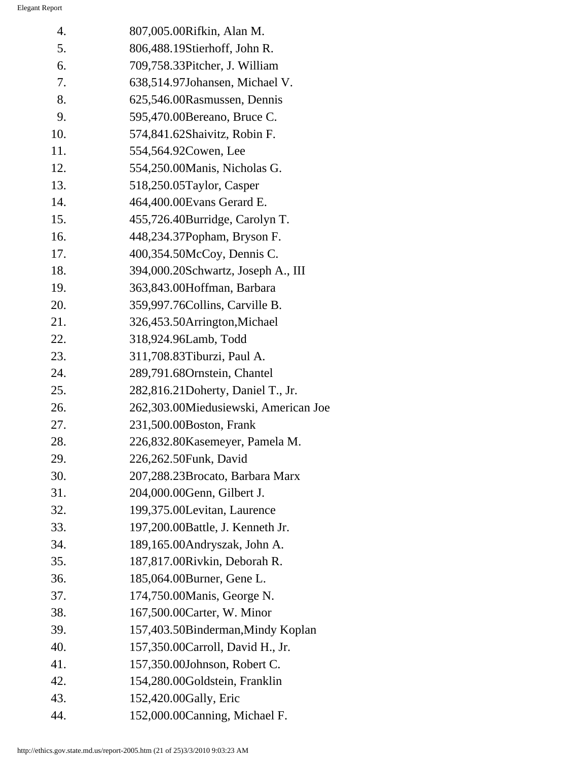| 4.  | 807,005.00Rifkin, Alan M.            |
|-----|--------------------------------------|
| 5.  | 806,488.19Stierhoff, John R.         |
| 6.  | 709,758.33Pitcher, J. William        |
| 7.  | 638,514.97Johansen, Michael V.       |
| 8.  | 625,546.00Rasmussen, Dennis          |
| 9.  | 595,470.00 Bereano, Bruce C.         |
| 10. | 574,841.62Shaivitz, Robin F.         |
| 11. | 554,564.92Cowen, Lee                 |
| 12. | 554,250.00 Manis, Nicholas G.        |
| 13. | 518,250.05Taylor, Casper             |
| 14. | 464,400.00 Evans Gerard E.           |
| 15. | 455,726.40Burridge, Carolyn T.       |
| 16. | 448,234.37Popham, Bryson F.          |
| 17. | 400,354.50McCoy, Dennis C.           |
| 18. | 394,000.20Schwartz, Joseph A., III   |
| 19. | 363,843.00Hoffman, Barbara           |
| 20. | 359,997.76Collins, Carville B.       |
| 21. | 326,453.50Arrington, Michael         |
| 22. | 318,924.96Lamb, Todd                 |
| 23. | 311,708.83Tiburzi, Paul A.           |
| 24. | 289,791.68Ornstein, Chantel          |
| 25. | 282,816.21Doherty, Daniel T., Jr.    |
| 26. | 262,303.00Miedusiewski, American Joe |
| 27. | 231,500.00Boston, Frank              |
| 28. | 226,832.80Kasemeyer, Pamela M.       |
| 29. | 226,262.50Funk, David                |
| 30. | 207,288.23Brocato, Barbara Marx      |
| 31. | 204,000.00Genn, Gilbert J.           |
| 32. | 199,375.00Levitan, Laurence          |
| 33. | 197,200.00Battle, J. Kenneth Jr.     |
| 34. | 189,165.00Andryszak, John A.         |
| 35. | 187,817.00Rivkin, Deborah R.         |
| 36. | 185,064.00Burner, Gene L.            |
| 37. | 174,750.00 Manis, George N.          |
| 38. | 167,500.00 Carter, W. Minor          |
| 39. | 157,403.50Binderman, Mindy Koplan    |
| 40. | 157,350.00 Carroll, David H., Jr.    |
| 41. | 157,350.00Johnson, Robert C.         |
| 42. | 154,280.00Goldstein, Franklin        |
| 43. | 152,420.00Gally, Eric                |
| 44. | 152,000.00 Canning, Michael F.       |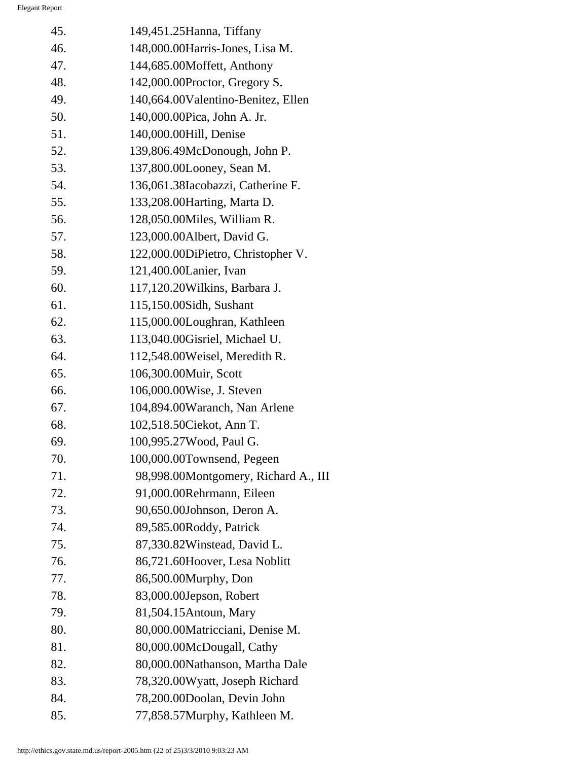| 45. | 149,451.25 Hanna, Tiffany            |
|-----|--------------------------------------|
| 46. | 148,000.00Harris-Jones, Lisa M.      |
| 47. | 144,685.00Moffett, Anthony           |
| 48. | 142,000.00Proctor, Gregory S.        |
| 49. | 140,664.00Valentino-Benitez, Ellen   |
| 50. | 140,000.00Pica, John A. Jr.          |
| 51. | 140,000.00Hill, Denise               |
| 52. | 139,806.49McDonough, John P.         |
| 53. | 137,800.00Looney, Sean M.            |
| 54. | 136,061.38Iacobazzi, Catherine F.    |
| 55. | 133,208.00 Harting, Marta D.         |
| 56. | 128,050.00Miles, William R.          |
| 57. | 123,000.00Albert, David G.           |
| 58. | 122,000.00DiPietro, Christopher V.   |
| 59. | 121,400.00Lanier, Ivan               |
| 60. | 117,120.20 Wilkins, Barbara J.       |
| 61. | 115,150.00Sidh, Sushant              |
| 62. | 115,000.00Loughran, Kathleen         |
| 63. | 113,040.00Gisriel, Michael U.        |
| 64. | 112,548.00Weisel, Meredith R.        |
| 65. | 106,300.00Muir, Scott                |
| 66. | 106,000.00Wise, J. Steven            |
| 67. | 104,894.00Waranch, Nan Arlene        |
| 68. | 102,518.50Ciekot, Ann T.             |
| 69. | 100,995.27Wood, Paul G.              |
| 70. | 100,000.00Townsend, Pegeen           |
| 71. | 98,998.00Montgomery, Richard A., III |
| 72. | 91,000.00Rehrmann, Eileen            |
| 73. | 90,650.00Johnson, Deron A.           |
| 74. | 89,585.00Roddy, Patrick              |
| 75. | 87,330.82Winstead, David L.          |
| 76. | 86,721.60Hoover, Lesa Noblitt        |
| 77. | 86,500.00Murphy, Don                 |
| 78. | 83,000.00Jepson, Robert              |
| 79. | 81,504.15 Antoun, Mary               |
| 80. | 80,000.00Matricciani, Denise M.      |
| 81. | 80,000.00McDougall, Cathy            |
| 82. | 80,000.00Nathanson, Martha Dale      |
| 83. | 78,320.00Wyatt, Joseph Richard       |
| 84. | 78,200.00Doolan, Devin John          |
| 85. | 77,858.57Murphy, Kathleen M.         |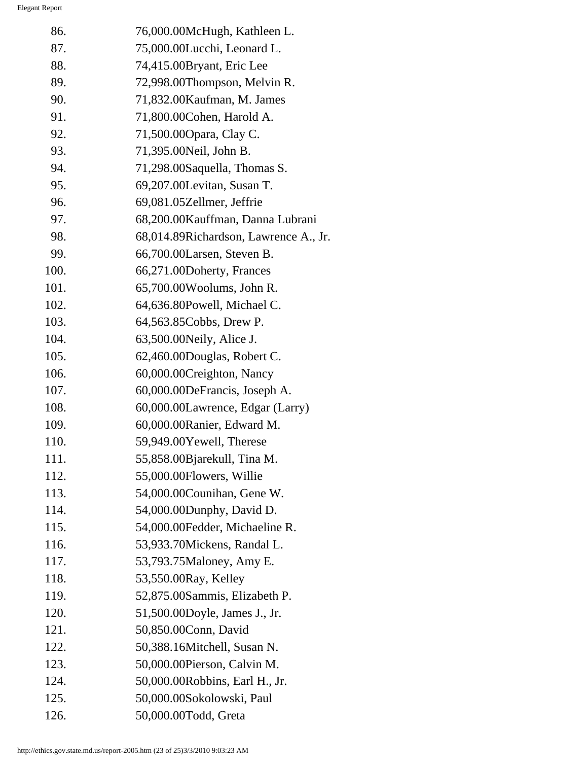| 86.  | 76,000.00McHugh, Kathleen L.          |
|------|---------------------------------------|
| 87.  | 75,000.00Lucchi, Leonard L.           |
| 88.  | 74,415.00Bryant, Eric Lee             |
| 89.  | 72,998.00Thompson, Melvin R.          |
| 90.  | 71,832.00 Kaufman, M. James           |
| 91.  | 71,800.00 Cohen, Harold A.            |
| 92.  | 71,500.00 Opara, Clay C.              |
| 93.  | 71,395.00Neil, John B.                |
| 94.  | 71,298.00Saquella, Thomas S.          |
| 95.  | 69,207.00Levitan, Susan T.            |
| 96.  | 69,081.05Zellmer, Jeffrie             |
| 97.  | 68,200.00 Kauffman, Danna Lubrani     |
| 98.  | 68,014.89Richardson, Lawrence A., Jr. |
| 99.  | 66,700.00Larsen, Steven B.            |
| 100. | 66,271.00Doherty, Frances             |
| 101. | 65,700.00Woolums, John R.             |
| 102. | 64,636.80Powell, Michael C.           |
| 103. | 64,563.85Cobbs, Drew P.               |
| 104. | 63,500.00 Neily, Alice J.             |
| 105. | 62,460.00Douglas, Robert C.           |
| 106. | 60,000.00Creighton, Nancy             |
| 107. | 60,000.00DeFrancis, Joseph A.         |
| 108. | 60,000.00Lawrence, Edgar (Larry)      |
| 109. | 60,000.00Ranier, Edward M.            |
| 110. | 59,949.00Yewell, Therese              |
| 111. | 55,858.00Bjarekull, Tina M.           |
| 112. | 55,000.00Flowers, Willie              |
| 113. | 54,000.00Counihan, Gene W.            |
| 114. | 54,000.00Dunphy, David D.             |
| 115. | 54,000.00Fedder, Michaeline R.        |
| 116. | 53,933.70Mickens, Randal L.           |
| 117. | 53,793.75Maloney, Amy E.              |
| 118. | 53,550.00 Ray, Kelley                 |
| 119. | 52,875.00Sammis, Elizabeth P.         |
| 120. | 51,500.00Doyle, James J., Jr.         |
| 121. | 50,850.00Conn, David                  |
| 122. | 50,388.16Mitchell, Susan N.           |
| 123. | 50,000.00Pierson, Calvin M.           |
| 124. | 50,000.00Robbins, Earl H., Jr.        |
| 125. | 50,000.00Sokolowski, Paul             |
| 126. | 50,000.00Todd, Greta                  |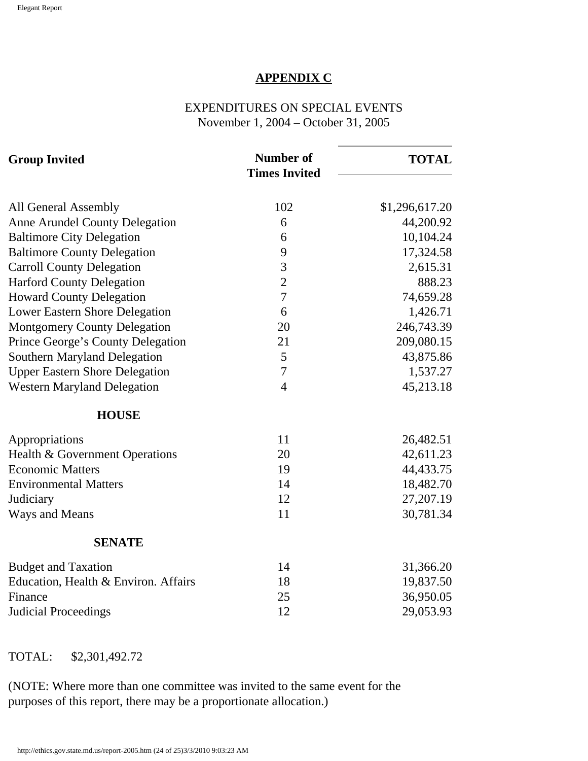#### **APPENDIX C**

EXPENDITURES ON SPECIAL EVENTS November 1, 2004 – October 31, 2005

| <b>Group Invited</b>                  | <b>Number of</b><br><b>Times Invited</b> | <b>TOTAL</b>   |  |
|---------------------------------------|------------------------------------------|----------------|--|
| All General Assembly                  | 102                                      | \$1,296,617.20 |  |
| <b>Anne Arundel County Delegation</b> | 6                                        | 44,200.92      |  |
| <b>Baltimore City Delegation</b>      | 6                                        | 10,104.24      |  |
| <b>Baltimore County Delegation</b>    | 9                                        | 17,324.58      |  |
| <b>Carroll County Delegation</b>      | 3                                        | 2,615.31       |  |
| <b>Harford County Delegation</b>      | $\overline{2}$                           | 888.23         |  |
| <b>Howard County Delegation</b>       | $\overline{7}$                           | 74,659.28      |  |
| <b>Lower Eastern Shore Delegation</b> | 6                                        | 1,426.71       |  |
| <b>Montgomery County Delegation</b>   | 20                                       | 246,743.39     |  |
| Prince George's County Delegation     | 21                                       | 209,080.15     |  |
| <b>Southern Maryland Delegation</b>   | 5                                        | 43,875.86      |  |
| <b>Upper Eastern Shore Delegation</b> | $\overline{7}$                           | 1,537.27       |  |
| <b>Western Maryland Delegation</b>    | $\overline{4}$                           | 45,213.18      |  |
| <b>HOUSE</b>                          |                                          |                |  |
| Appropriations                        | 11                                       | 26,482.51      |  |
| Health & Government Operations        | 20                                       | 42,611.23      |  |
| <b>Economic Matters</b>               | 19                                       | 44,433.75      |  |
| <b>Environmental Matters</b>          | 14                                       | 18,482.70      |  |
| Judiciary                             | 12                                       | 27,207.19      |  |
| Ways and Means                        | 11                                       | 30,781.34      |  |
| <b>SENATE</b>                         |                                          |                |  |
| <b>Budget and Taxation</b>            | 14                                       | 31,366.20      |  |
| Education, Health & Environ. Affairs  | 18                                       | 19,837.50      |  |
| Finance                               | 25                                       | 36,950.05      |  |
| <b>Judicial Proceedings</b>           | 12                                       | 29,053.93      |  |

#### TOTAL: \$2,301,492.72

(NOTE: Where more than one committee was invited to the same event for the purposes of this report, there may be a proportionate allocation.)